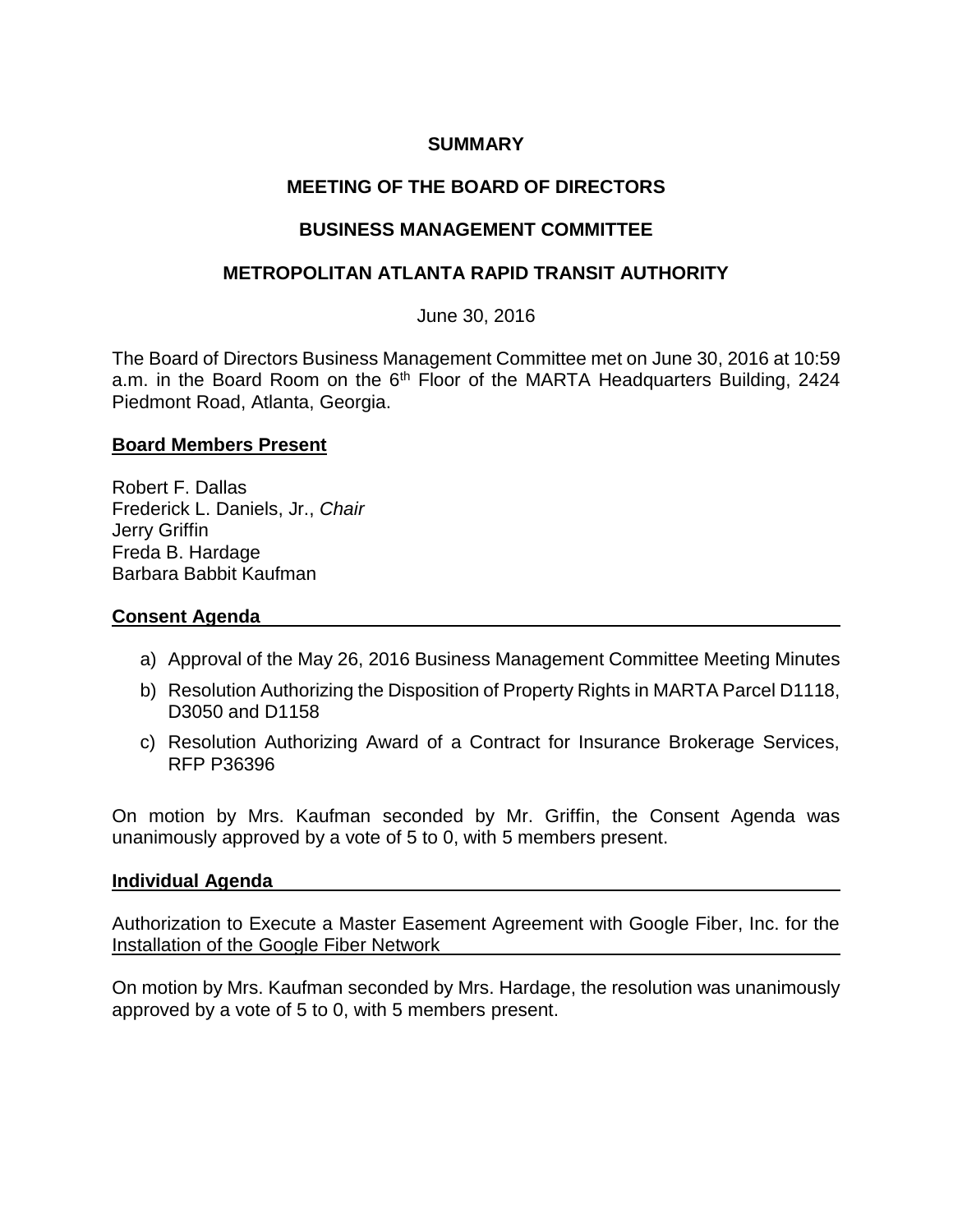## **SUMMARY**

# **MEETING OF THE BOARD OF DIRECTORS**

## **BUSINESS MANAGEMENT COMMITTEE**

## **METROPOLITAN ATLANTA RAPID TRANSIT AUTHORITY**

June 30, 2016

The Board of Directors Business Management Committee met on June 30, 2016 at 10:59 a.m. in the Board Room on the 6<sup>th</sup> Floor of the MARTA Headquarters Building, 2424 Piedmont Road, Atlanta, Georgia.

#### **Board Members Present**

Robert F. Dallas Frederick L. Daniels, Jr., *Chair* Jerry Griffin Freda B. Hardage Barbara Babbit Kaufman

### **Consent Agenda**

- a) Approval of the May 26, 2016 Business Management Committee Meeting Minutes
- b) Resolution Authorizing the Disposition of Property Rights in MARTA Parcel D1118, D3050 and D1158
- c) Resolution Authorizing Award of a Contract for Insurance Brokerage Services, RFP P36396

On motion by Mrs. Kaufman seconded by Mr. Griffin, the Consent Agenda was unanimously approved by a vote of 5 to 0, with 5 members present.

#### **Individual Agenda**

Authorization to Execute a Master Easement Agreement with Google Fiber, Inc. for the Installation of the Google Fiber Network

On motion by Mrs. Kaufman seconded by Mrs. Hardage, the resolution was unanimously approved by a vote of 5 to 0, with 5 members present.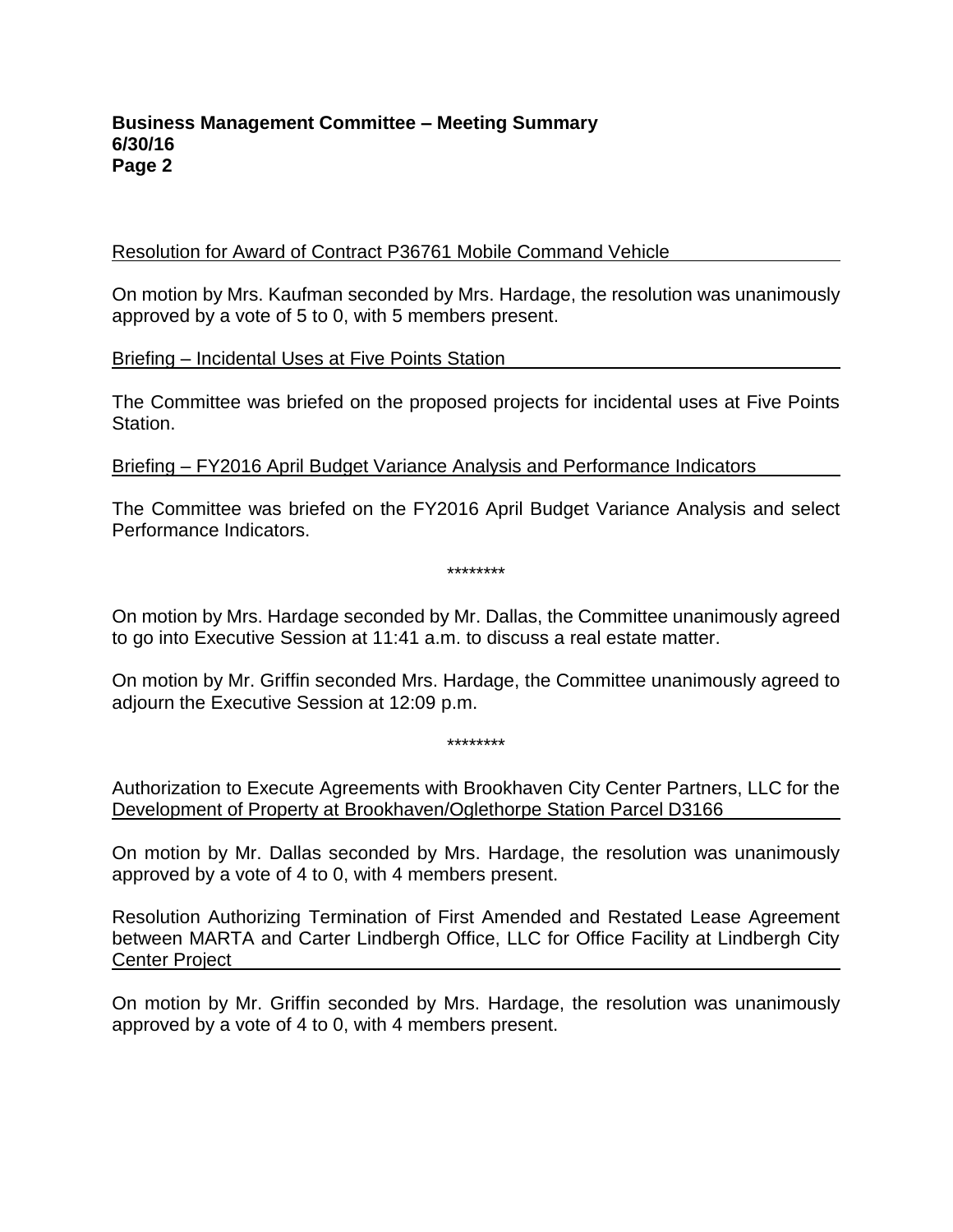#### **Business Management Committee – Meeting Summary 6/30/16 Page 2**

### Resolution for Award of Contract P36761 Mobile Command Vehicle

On motion by Mrs. Kaufman seconded by Mrs. Hardage, the resolution was unanimously approved by a vote of 5 to 0, with 5 members present.

Briefing – Incidental Uses at Five Points Station

The Committee was briefed on the proposed projects for incidental uses at Five Points Station.

Briefing – FY2016 April Budget Variance Analysis and Performance Indicators

The Committee was briefed on the FY2016 April Budget Variance Analysis and select Performance Indicators.

\*\*\*\*\*\*\*\*

On motion by Mrs. Hardage seconded by Mr. Dallas, the Committee unanimously agreed to go into Executive Session at 11:41 a.m. to discuss a real estate matter.

On motion by Mr. Griffin seconded Mrs. Hardage, the Committee unanimously agreed to adjourn the Executive Session at 12:09 p.m.

\*\*\*\*\*\*\*\*

Authorization to Execute Agreements with Brookhaven City Center Partners, LLC for the Development of Property at Brookhaven/Oglethorpe Station Parcel D3166

On motion by Mr. Dallas seconded by Mrs. Hardage, the resolution was unanimously approved by a vote of 4 to 0, with 4 members present.

Resolution Authorizing Termination of First Amended and Restated Lease Agreement between MARTA and Carter Lindbergh Office, LLC for Office Facility at Lindbergh City Center Project

On motion by Mr. Griffin seconded by Mrs. Hardage, the resolution was unanimously approved by a vote of 4 to 0, with 4 members present.